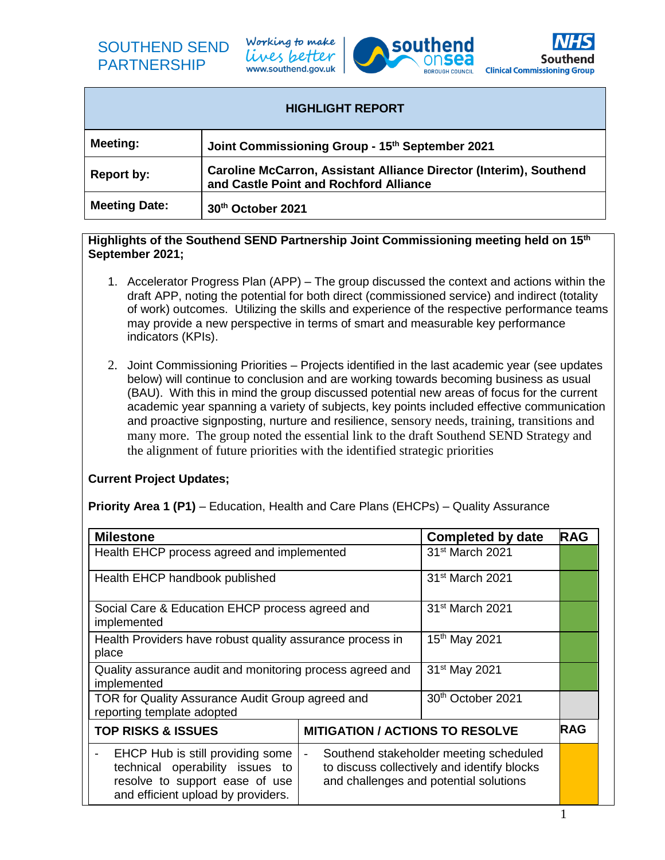

Working to make lives better www.southend.gov.uk





| <b>HIGHLIGHT REPORT</b> |                                                                                                              |  |
|-------------------------|--------------------------------------------------------------------------------------------------------------|--|
| Meeting:                | Joint Commissioning Group - 15th September 2021                                                              |  |
| <b>Report by:</b>       | Caroline McCarron, Assistant Alliance Director (Interim), Southend<br>and Castle Point and Rochford Alliance |  |
| <b>Meeting Date:</b>    | 30th October 2021                                                                                            |  |

## **Highlights of the Southend SEND Partnership Joint Commissioning meeting held on 15th September 2021;**

- 1. Accelerator Progress Plan (APP) The group discussed the context and actions within the draft APP, noting the potential for both direct (commissioned service) and indirect (totality of work) outcomes. Utilizing the skills and experience of the respective performance teams may provide a new perspective in terms of smart and measurable key performance indicators (KPIs).
- 2. Joint Commissioning Priorities Projects identified in the last academic year (see updates below) will continue to conclusion and are working towards becoming business as usual (BAU). With this in mind the group discussed potential new areas of focus for the current academic year spanning a variety of subjects, key points included effective communication and proactive signposting, nurture and resilience, sensory needs, training, transitions and many more. The group noted the essential link to the draft Southend SEND Strategy and the alignment of future priorities with the identified strategic priorities

## **Current Project Updates;**

**Priority Area 1 (P1)** – Education, Health and Care Plans (EHCPs) – Quality Assurance

| <b>Milestone</b>                                                                                                                            |                                        | Completed by date                                                                                                               | <b>RAG</b> |
|---------------------------------------------------------------------------------------------------------------------------------------------|----------------------------------------|---------------------------------------------------------------------------------------------------------------------------------|------------|
| Health EHCP process agreed and implemented                                                                                                  |                                        | 31 <sup>st</sup> March 2021                                                                                                     |            |
| Health EHCP handbook published                                                                                                              |                                        | 31 <sup>st</sup> March 2021                                                                                                     |            |
| Social Care & Education EHCP process agreed and<br>implemented                                                                              |                                        | 31 <sup>st</sup> March 2021                                                                                                     |            |
| Health Providers have robust quality assurance process in<br>place                                                                          |                                        | 15 <sup>th</sup> May 2021                                                                                                       |            |
| Quality assurance audit and monitoring process agreed and<br>implemented                                                                    |                                        | 31 <sup>st</sup> May 2021                                                                                                       |            |
| TOR for Quality Assurance Audit Group agreed and<br>reporting template adopted                                                              |                                        | 30th October 2021                                                                                                               |            |
| <b>TOP RISKS &amp; ISSUES</b>                                                                                                               | <b>MITIGATION / ACTIONS TO RESOLVE</b> |                                                                                                                                 | <b>RAG</b> |
| EHCP Hub is still providing some<br>technical operability issues to<br>resolve to support ease of use<br>and efficient upload by providers. | $\frac{1}{2}$                          | Southend stakeholder meeting scheduled<br>to discuss collectively and identify blocks<br>and challenges and potential solutions |            |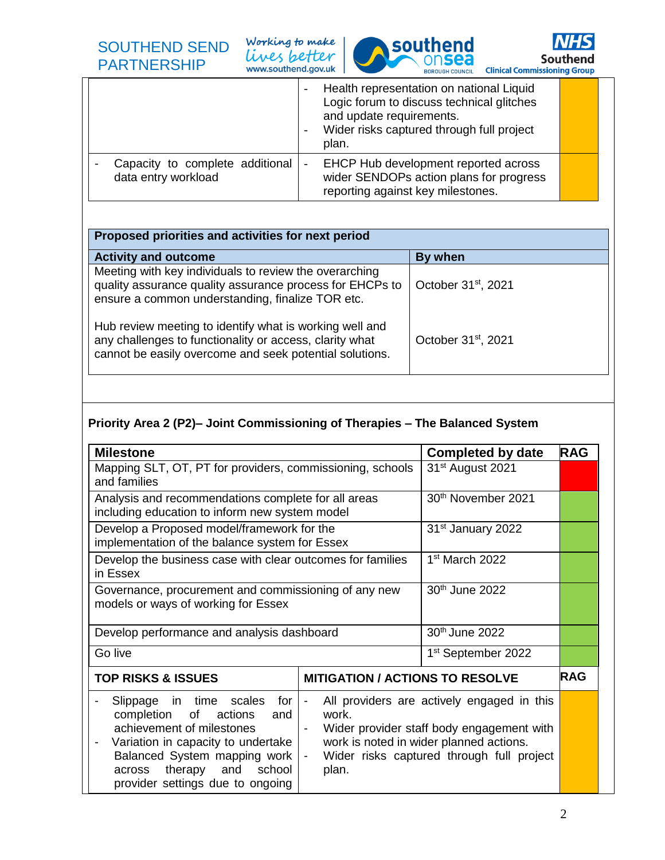Working to make Lives better





|                                                        | Health representation on national Liquid<br>Logic forum to discuss technical glitches<br>and update requirements.<br>Wider risks captured through full project<br>plan. |  |
|--------------------------------------------------------|-------------------------------------------------------------------------------------------------------------------------------------------------------------------------|--|
| Capacity to complete additional<br>data entry workload | EHCP Hub development reported across<br>$\overline{\phantom{a}}$<br>wider SENDOPs action plans for progress<br>reporting against key milestones.                        |  |

| Proposed priorities and activities for next period                                                                                                                            |                                 |
|-------------------------------------------------------------------------------------------------------------------------------------------------------------------------------|---------------------------------|
| <b>Activity and outcome</b>                                                                                                                                                   | By when                         |
| Meeting with key individuals to review the overarching<br>quality assurance quality assurance process for EHCPs to<br>ensure a common understanding, finalize TOR etc.        | October 31 <sup>st</sup> , 2021 |
| Hub review meeting to identify what is working well and<br>any challenges to functionality or access, clarity what<br>cannot be easily overcome and seek potential solutions. | October 31 <sup>st</sup> , 2021 |

## **Priority Area 2 (P2)– Joint Commissioning of Therapies – The Balanced System**

| <b>Milestone</b>                                                                                                                                                                                                                                                                                                                                                                                                                                                                                                            |                                        | <b>Completed by date</b>       | <b>RAG</b> |
|-----------------------------------------------------------------------------------------------------------------------------------------------------------------------------------------------------------------------------------------------------------------------------------------------------------------------------------------------------------------------------------------------------------------------------------------------------------------------------------------------------------------------------|----------------------------------------|--------------------------------|------------|
| Mapping SLT, OT, PT for providers, commissioning, schools<br>and families                                                                                                                                                                                                                                                                                                                                                                                                                                                   |                                        | 31 <sup>st</sup> August 2021   |            |
| Analysis and recommendations complete for all areas<br>including education to inform new system model                                                                                                                                                                                                                                                                                                                                                                                                                       |                                        | 30 <sup>th</sup> November 2021 |            |
| Develop a Proposed model/framework for the<br>implementation of the balance system for Essex                                                                                                                                                                                                                                                                                                                                                                                                                                |                                        | 31 <sup>st</sup> January 2022  |            |
| Develop the business case with clear outcomes for families<br>in Essex                                                                                                                                                                                                                                                                                                                                                                                                                                                      |                                        | 1 <sup>st</sup> March 2022     |            |
| Governance, procurement and commissioning of any new<br>models or ways of working for Essex                                                                                                                                                                                                                                                                                                                                                                                                                                 |                                        | 30 <sup>th</sup> June 2022     |            |
| Develop performance and analysis dashboard                                                                                                                                                                                                                                                                                                                                                                                                                                                                                  |                                        | 30 <sup>th</sup> June 2022     |            |
| Go live                                                                                                                                                                                                                                                                                                                                                                                                                                                                                                                     |                                        | 1 <sup>st</sup> September 2022 |            |
| <b>TOP RISKS &amp; ISSUES</b>                                                                                                                                                                                                                                                                                                                                                                                                                                                                                               | <b>MITIGATION / ACTIONS TO RESOLVE</b> |                                | <b>RAG</b> |
| All providers are actively engaged in this<br>Slippage in time scales<br>for<br>$\qquad \qquad \blacksquare$<br>completion<br>of<br>actions<br>and<br>work.<br>achievement of milestones<br>Wider provider staff body engagement with<br>work is noted in wider planned actions.<br>Variation in capacity to undertake<br>$\overline{\phantom{0}}$<br>Balanced System mapping work<br>Wider risks captured through full project<br>$\sim$ .<br>therapy and<br>school<br>plan.<br>across<br>provider settings due to ongoing |                                        |                                |            |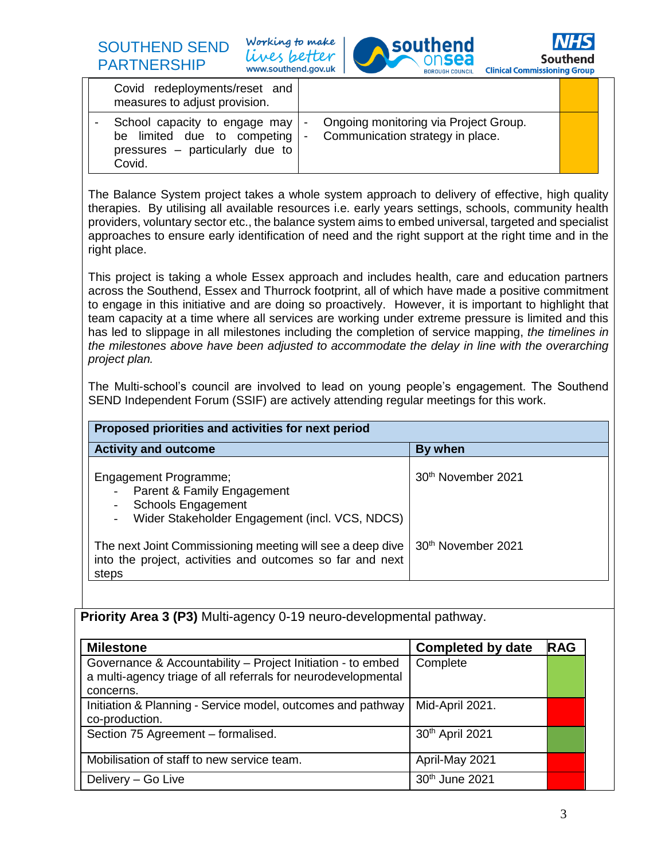SOUTHEND SEND PARTNERSHIP

Working to make lives better www.southend.gov.uk





| Covid redeployments/reset and<br>measures to adjust provision.                                              |        |                                                                           |  |
|-------------------------------------------------------------------------------------------------------------|--------|---------------------------------------------------------------------------|--|
| School capacity to engage may  <br>be limited due to competing<br>pressures - particularly due to<br>Covid. | $\sim$ | Ongoing monitoring via Project Group.<br>Communication strategy in place. |  |

The Balance System project takes a whole system approach to delivery of effective, high quality therapies. By utilising all available resources i.e. early years settings, schools, community health providers, voluntary sector etc., the balance system aims to embed universal, targeted and specialist approaches to ensure early identification of need and the right support at the right time and in the right place.

This project is taking a whole Essex approach and includes health, care and education partners across the Southend, Essex and Thurrock footprint, all of which have made a positive commitment to engage in this initiative and are doing so proactively. However, it is important to highlight that team capacity at a time where all services are working under extreme pressure is limited and this has led to slippage in all milestones including the completion of service mapping, *the timelines in the milestones above have been adjusted to accommodate the delay in line with the overarching project plan.*

The Multi-school's council are involved to lead on young people's engagement. The Southend SEND Independent Forum (SSIF) are actively attending regular meetings for this work.

| Proposed priorities and activities for next period                                                                                                               |                                |  |
|------------------------------------------------------------------------------------------------------------------------------------------------------------------|--------------------------------|--|
| <b>Activity and outcome</b>                                                                                                                                      | By when                        |  |
| <b>Engagement Programme;</b><br>Parent & Family Engagement<br>$\omega_{\rm{max}}$<br><b>Schools Engagement</b><br>Wider Stakeholder Engagement (incl. VCS, NDCS) | 30 <sup>th</sup> November 2021 |  |
| The next Joint Commissioning meeting will see a deep dive<br>into the project, activities and outcomes so far and next<br>steps                                  | 30 <sup>th</sup> November 2021 |  |

**Priority Area 3 (P3)** Multi-agency 0-19 neuro-developmental pathway.

| <b>Milestone</b>                                                                                                                          | <b>Completed by date</b> | <b>RAG</b> |
|-------------------------------------------------------------------------------------------------------------------------------------------|--------------------------|------------|
| Governance & Accountability – Project Initiation - to embed<br>a multi-agency triage of all referrals for neurodevelopmental<br>concerns. | Complete                 |            |
| Initiation & Planning - Service model, outcomes and pathway<br>co-production.                                                             | Mid-April 2021.          |            |
| Section 75 Agreement - formalised.                                                                                                        | 30th April 2021          |            |
| Mobilisation of staff to new service team.                                                                                                | April-May 2021           |            |
| Delivery - Go Live                                                                                                                        | 30th June 2021           |            |